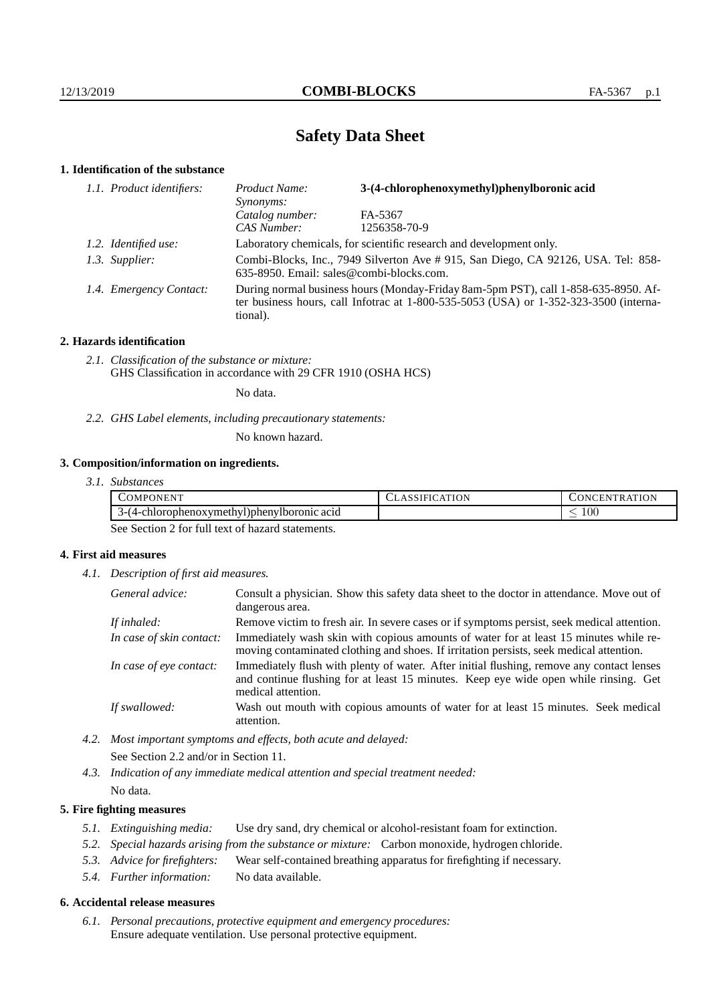# **Safety Data Sheet**

## **1. Identification of the substance**

| 1.1. Product identifiers: | 3-(4-chlorophenoxymethyl)phenylboronic acid<br>Product Name:<br>Synonyms:                                                                                                                   |              |  |
|---------------------------|---------------------------------------------------------------------------------------------------------------------------------------------------------------------------------------------|--------------|--|
|                           | Catalog number:                                                                                                                                                                             | FA-5367      |  |
|                           | CAS Number:                                                                                                                                                                                 | 1256358-70-9 |  |
| 1.2. Identified use:      | Laboratory chemicals, for scientific research and development only.                                                                                                                         |              |  |
| 1.3. Supplier:            | Combi-Blocks, Inc., 7949 Silverton Ave # 915, San Diego, CA 92126, USA. Tel: 858-<br>635-8950. Email: sales@combi-blocks.com.                                                               |              |  |
| 1.4. Emergency Contact:   | During normal business hours (Monday-Friday 8am-5pm PST), call 1-858-635-8950. Af-<br>ter business hours, call Infotrac at $1-800-535-5053$ (USA) or $1-352-323-3500$ (interna-<br>tional). |              |  |

## **2. Hazards identification**

*2.1. Classification of the substance or mixture:* GHS Classification in accordance with 29 CFR 1910 (OSHA HCS)

No data.

*2.2. GHS Label elements, including precautionary statements:*

No known hazard.

# **3. Composition/information on ingredients.**

| 3.1. Substances |  |
|-----------------|--|
|                 |  |

| <b>DMPONEN</b>                                                                                    | эN<br>$\mathbf{\Delta}$ | EN:<br>חנ<br><b>IN'</b><br>- I R    |
|---------------------------------------------------------------------------------------------------|-------------------------|-------------------------------------|
| <br>$\mathcal{L}$ hlorophenoxymethy<br>Dohen'<br>$\sim$ $\sim$<br>e acid<br>AVIDOFONIC<br>1-L 4-L |                         | $100\,$<br>$\overline{\phantom{a}}$ |

See Section 2 for full text of hazard statements.

### **4. First aid measures**

*4.1. Description of first aid measures.*

| General advice:          | Consult a physician. Show this safety data sheet to the doctor in attendance. Move out of<br>dangerous area.                                                                                            |
|--------------------------|---------------------------------------------------------------------------------------------------------------------------------------------------------------------------------------------------------|
| If inhaled:              | Remove victim to fresh air. In severe cases or if symptoms persist, seek medical attention.                                                                                                             |
| In case of skin contact: | Immediately wash skin with copious amounts of water for at least 15 minutes while re-<br>moving contaminated clothing and shoes. If irritation persists, seek medical attention.                        |
| In case of eye contact:  | Immediately flush with plenty of water. After initial flushing, remove any contact lenses<br>and continue flushing for at least 15 minutes. Keep eye wide open while rinsing. Get<br>medical attention. |
| If swallowed:            | Wash out mouth with copious amounts of water for at least 15 minutes. Seek medical<br>attention.                                                                                                        |

*4.2. Most important symptoms and effects, both acute and delayed:* See Section 2.2 and/or in Section 11.

*4.3. Indication of any immediate medical attention and special treatment needed:* No data.

### **5. Fire fighting measures**

- *5.1. Extinguishing media:* Use dry sand, dry chemical or alcohol-resistant foam for extinction.
- *5.2. Special hazards arising from the substance or mixture:* Carbon monoxide, hydrogen chloride.
- *5.3. Advice for firefighters:* Wear self-contained breathing apparatus for firefighting if necessary.
- *5.4. Further information:* No data available.

### **6. Accidental release measures**

*6.1. Personal precautions, protective equipment and emergency procedures:* Ensure adequate ventilation. Use personal protective equipment.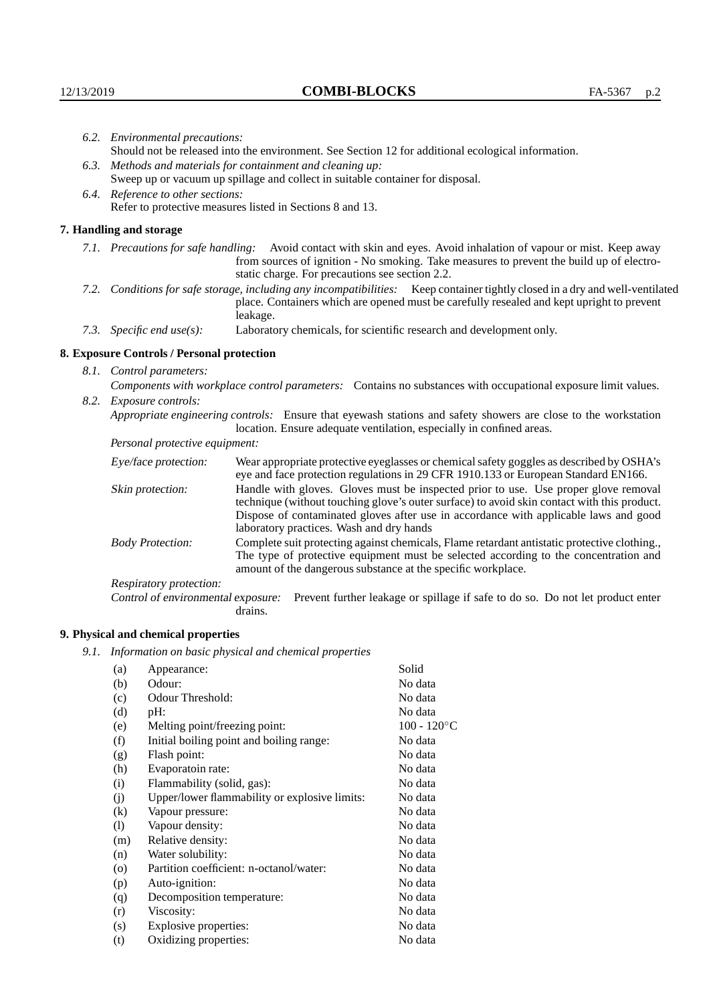| 6.2. Environmental precautions:                                                                               |                                                                                                    |                                                                                                                                                                                                                                                                                                                        |  |  |
|---------------------------------------------------------------------------------------------------------------|----------------------------------------------------------------------------------------------------|------------------------------------------------------------------------------------------------------------------------------------------------------------------------------------------------------------------------------------------------------------------------------------------------------------------------|--|--|
|                                                                                                               | Should not be released into the environment. See Section 12 for additional ecological information. |                                                                                                                                                                                                                                                                                                                        |  |  |
|                                                                                                               | 6.3. Methods and materials for containment and cleaning up:                                        |                                                                                                                                                                                                                                                                                                                        |  |  |
|                                                                                                               |                                                                                                    | Sweep up or vacuum up spillage and collect in suitable container for disposal.                                                                                                                                                                                                                                         |  |  |
|                                                                                                               | 6.4. Reference to other sections:                                                                  |                                                                                                                                                                                                                                                                                                                        |  |  |
|                                                                                                               |                                                                                                    | Refer to protective measures listed in Sections 8 and 13.                                                                                                                                                                                                                                                              |  |  |
|                                                                                                               | 7. Handling and storage                                                                            |                                                                                                                                                                                                                                                                                                                        |  |  |
|                                                                                                               |                                                                                                    | 7.1. Precautions for safe handling: Avoid contact with skin and eyes. Avoid inhalation of vapour or mist. Keep away<br>from sources of ignition - No smoking. Take measures to prevent the build up of electro-<br>static charge. For precautions see section 2.2.                                                     |  |  |
|                                                                                                               |                                                                                                    | 7.2. Conditions for safe storage, including any incompatibilities: Keep container tightly closed in a dry and well-ventilated<br>place. Containers which are opened must be carefully resealed and kept upright to prevent<br>leakage.                                                                                 |  |  |
|                                                                                                               | 7.3. Specific end use(s):                                                                          | Laboratory chemicals, for scientific research and development only.                                                                                                                                                                                                                                                    |  |  |
|                                                                                                               | 8. Exposure Controls / Personal protection                                                         |                                                                                                                                                                                                                                                                                                                        |  |  |
|                                                                                                               | 8.1. Control parameters:                                                                           |                                                                                                                                                                                                                                                                                                                        |  |  |
| Components with workplace control parameters: Contains no substances with occupational exposure limit values. |                                                                                                    |                                                                                                                                                                                                                                                                                                                        |  |  |
|                                                                                                               | 8.2. Exposure controls:                                                                            |                                                                                                                                                                                                                                                                                                                        |  |  |
|                                                                                                               |                                                                                                    | Appropriate engineering controls: Ensure that eyewash stations and safety showers are close to the workstation<br>location. Ensure adequate ventilation, especially in confined areas.                                                                                                                                 |  |  |
|                                                                                                               | Personal protective equipment:                                                                     |                                                                                                                                                                                                                                                                                                                        |  |  |
|                                                                                                               | Eye/face protection:                                                                               | Wear appropriate protective eyeglasses or chemical safety goggles as described by OSHA's<br>eye and face protection regulations in 29 CFR 1910.133 or European Standard EN166.                                                                                                                                         |  |  |
|                                                                                                               | Skin protection:                                                                                   | Handle with gloves. Gloves must be inspected prior to use. Use proper glove removal<br>technique (without touching glove's outer surface) to avoid skin contact with this product.<br>Dispose of contaminated gloves after use in accordance with applicable laws and good<br>laboratory practices. Wash and dry hands |  |  |
|                                                                                                               | <b>Body Protection:</b>                                                                            | Complete suit protecting against chemicals, Flame retardant antistatic protective clothing.,<br>The type of protective equipment must be selected according to the concentration and<br>amount of the dangerous substance at the specific workplace.                                                                   |  |  |
|                                                                                                               | Respiratory protection:                                                                            |                                                                                                                                                                                                                                                                                                                        |  |  |

Control of environmental exposure: Prevent further leakage or spillage if safe to do so. Do not let product enter drains.

# **9. Physical and chemical properties**

*9.1. Information on basic physical and chemical properties*

| (a)                | Appearance:                                   | Solid          |
|--------------------|-----------------------------------------------|----------------|
| (b)                | Odour:                                        | No data        |
| (c)                | Odour Threshold:                              | No data        |
| (d)                | pH:                                           | No data        |
| (e)                | Melting point/freezing point:                 | $100 - 120$ °C |
| (f)                | Initial boiling point and boiling range:      | No data        |
| (g)                | Flash point:                                  | No data        |
| (h)                | Evaporatoin rate:                             | No data        |
| (i)                | Flammability (solid, gas):                    | No data        |
| (j)                | Upper/lower flammability or explosive limits: | No data        |
| $\left( k\right)$  | Vapour pressure:                              | No data        |
| (1)                | Vapour density:                               | No data        |
| (m)                | Relative density:                             | No data        |
| (n)                | Water solubility:                             | No data        |
| $\left( 0 \right)$ | Partition coefficient: n-octanol/water:       | No data        |
| (p)                | Auto-ignition:                                | No data        |
| (q)                | Decomposition temperature:                    | No data        |
| (r)                | Viscosity:                                    | No data        |
| (s)                | Explosive properties:                         | No data        |
| (t)                | Oxidizing properties:                         | No data        |